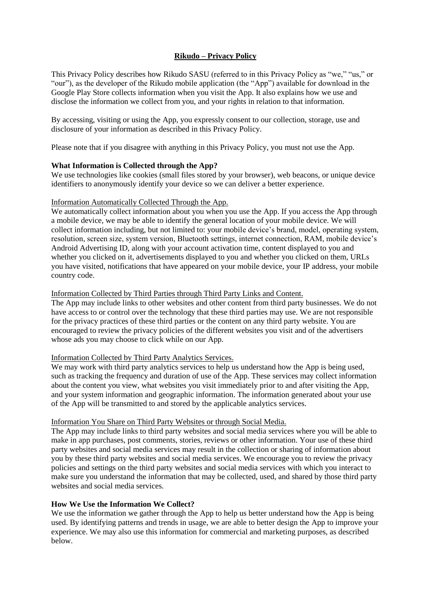# **Rikudo – Privacy Policy**

This Privacy Policy describes how Rikudo SASU (referred to in this Privacy Policy as "we," "us," or "our"), as the developer of the Rikudo mobile application (the "App") available for download in the Google Play Store collects information when you visit the App. It also explains how we use and disclose the information we collect from you, and your rights in relation to that information.

By accessing, visiting or using the App, you expressly consent to our collection, storage, use and disclosure of your information as described in this Privacy Policy.

Please note that if you disagree with anything in this Privacy Policy, you must not use the App.

## **What Information is Collected through the App?**

We use technologies like cookies (small files stored by your browser), web beacons, or unique device identifiers to anonymously identify your device so we can deliver a better experience.

#### Information Automatically Collected Through the App.

We automatically collect information about you when you use the App. If you access the App through a mobile device, we may be able to identify the general location of your mobile device. We will collect information including, but not limited to: your mobile device's brand, model, operating system, resolution, screen size, system version, Bluetooth settings, internet connection, RAM, mobile device's Android Advertising ID, along with your account activation time, content displayed to you and whether you clicked on it, advertisements displayed to you and whether you clicked on them, URLs you have visited, notifications that have appeared on your mobile device, your IP address, your mobile country code.

## Information Collected by Third Parties through Third Party Links and Content.

The App may include links to other websites and other content from third party businesses. We do not have access to or control over the technology that these third parties may use. We are not responsible for the privacy practices of these third parties or the content on any third party website. You are encouraged to review the privacy policies of the different websites you visit and of the advertisers whose ads you may choose to click while on our App.

#### Information Collected by Third Party Analytics Services.

We may work with third party analytics services to help us understand how the App is being used, such as tracking the frequency and duration of use of the App. These services may collect information about the content you view, what websites you visit immediately prior to and after visiting the App, and your system information and geographic information. The information generated about your use of the App will be transmitted to and stored by the applicable analytics services.

#### Information You Share on Third Party Websites or through Social Media.

The App may include links to third party websites and social media services where you will be able to make in app purchases, post comments, stories, reviews or other information. Your use of these third party websites and social media services may result in the collection or sharing of information about you by these third party websites and social media services. We encourage you to review the privacy policies and settings on the third party websites and social media services with which you interact to make sure you understand the information that may be collected, used, and shared by those third party websites and social media services.

# **How We Use the Information We Collect?**

We use the information we gather through the App to help us better understand how the App is being used. By identifying patterns and trends in usage, we are able to better design the App to improve your experience. We may also use this information for commercial and marketing purposes, as described below.